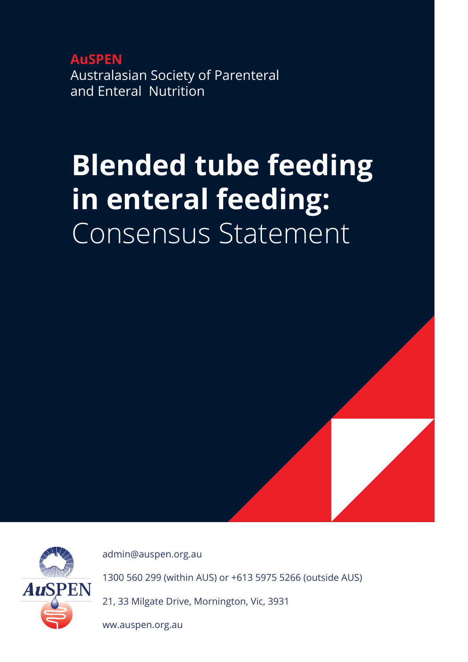**AuSPEN** Australasian Society of Parenteral and Enteral Nutrition

# **Blended tube feeding in enteral feeding:**  Consensus Statement



[admin@auspen.org.au](mailto:admin%40auspen.org.au%20?subject=)

1300 560 299 (within AUS) or +613 5975 5266 (outside AUS)

21, 33 Milgate Drive, Mornington, Vic, 3931

ww.auspen.org.au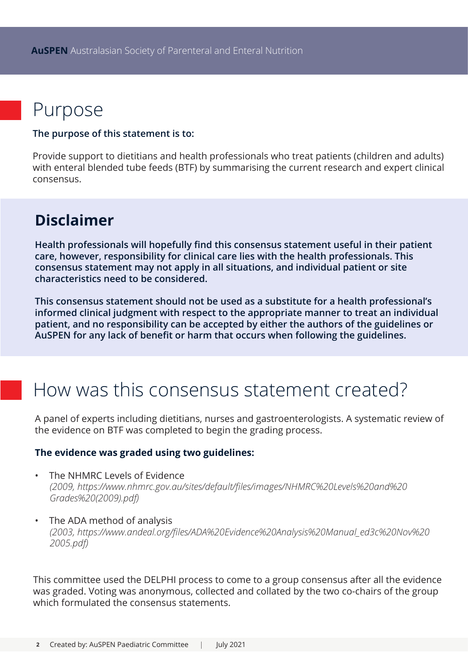# Purpose

#### **The purpose of this statement is to:**

Provide support to dietitians and health professionals who treat patients (children and adults) with enteral blended tube feeds (BTF) by summarising the current research and expert clinical consensus.

### **Disclaimer**

**Health professionals will hopefully find this consensus statement useful in their patient care, however, responsibility for clinical care lies with the health professionals. This consensus statement may not apply in all situations, and individual patient or site characteristics need to be considered.** 

**This consensus statement should not be used as a substitute for a health professional's informed clinical judgment with respect to the appropriate manner to treat an individual patient, and no responsibility can be accepted by either the authors of the guidelines or AuSPEN for any lack of benefit or harm that occurs when following the guidelines.**

## How was this consensus statement created?

A panel of experts including dietitians, nurses and gastroenterologists. A systematic review of the evidence on BTF was completed to begin the grading process.

#### **The evidence was graded using two guidelines:**

- The NHMRC Levels of Evidence *(2009, [https://www.nhmrc.gov.au/sites/default/files/images/NHMRC%20Levels%20and%20](https://www.nhmrc.gov.au/sites/default/files/images/NHMRC%20Levels%20and%20Grades%20(2009).pdf)   [Grades%20\(2009\).pdf\)](https://www.nhmrc.gov.au/sites/default/files/images/NHMRC%20Levels%20and%20Grades%20(2009).pdf)*
- The ADA method of analysis *(2003, [https://www.andeal.org/files/ADA%20Evidence%20Analysis%20Manual\\_ed3c%20Nov%20](https://www.andeal.org/files/ADA%20Evidence%20Analysis%20Manual_ed3c%20Nov%202005.pdf)   [2005.pdf](https://www.andeal.org/files/ADA%20Evidence%20Analysis%20Manual_ed3c%20Nov%202005.pdf))*

This committee used the DELPHI process to come to a group consensus after all the evidence was graded. Voting was anonymous, collected and collated by the two co-chairs of the group which formulated the consensus statements.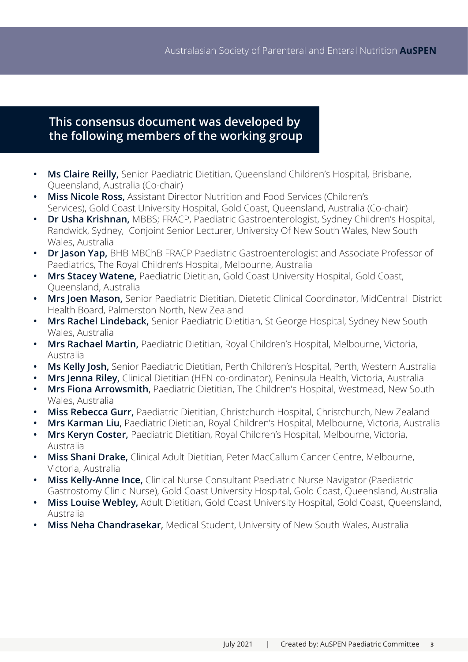### **This consensus document was developed by the following members of the working group**

- **• Ms Claire Reilly,** Senior Paediatric Dietitian, Queensland Children's Hospital, Brisbane, Queensland, Australia (Co-chair)
- **• Miss Nicole Ross,** Assistant Director Nutrition and Food Services (Children's Services), Gold Coast University Hospital, Gold Coast, Queensland, Australia (Co-chair)
- **• Dr Usha Krishnan,** MBBS; FRACP, Paediatric Gastroenterologist, Sydney Children's Hospital, Randwick, Sydney, Conjoint Senior Lecturer, University Of New South Wales, New South Wales, Australia
- **• Dr Jason Yap,** BHB MBChB FRACP Paediatric Gastroenterologist and Associate Professor of Paediatrics, The Royal Children's Hospital, Melbourne, Australia
- **• Mrs Stacey Watene,** Paediatric Dietitian, Gold Coast University Hospital, Gold Coast, Queensland, Australia
- **• Mrs Joen Mason,** Senior Paediatric Dietitian, Dietetic Clinical Coordinator, MidCentral District Health Board, Palmerston North, New Zealand
- **• Mrs Rachel Lindeback,** Senior Paediatric Dietitian, St George Hospital, Sydney New South Wales, Australia
- **• Mrs Rachael Martin,** Paediatric Dietitian, Royal Children's Hospital, Melbourne, Victoria, Australia
- **• Ms Kelly Josh,** Senior Paediatric Dietitian, Perth Children's Hospital, Perth, Western Australia
- **• Mrs Jenna Riley,** Clinical Dietitian (HEN co-ordinator), Peninsula Health, Victoria, Australia
- **• Mrs Fiona Arrowsmith**, Paediatric Dietitian, The Children's Hospital, Westmead, New South Wales, Australia
- **• Miss Rebecca Gurr,** Paediatric Dietitian, Christchurch Hospital, Christchurch, New Zealand
- **• Mrs Karman Liu**, Paediatric Dietitian, Royal Children's Hospital, Melbourne, Victoria, Australia
- **• Mrs Keryn Coster,** Paediatric Dietitian, Royal Children's Hospital, Melbourne, Victoria, Australia
- **• Miss Shani Drake,** Clinical Adult Dietitian, Peter MacCallum Cancer Centre, Melbourne, Victoria, Australia
- **• Miss Kelly-Anne Ince,** Clinical Nurse Consultant Paediatric Nurse Navigator (Paediatric Gastrostomy Clinic Nurse), Gold Coast University Hospital, Gold Coast, Queensland, Australia
- **• Miss Louise Webley,** Adult Dietitian, Gold Coast University Hospital, Gold Coast, Queensland, Australia
- **• Miss Neha Chandrasekar**, Medical Student, University of New South Wales, Australia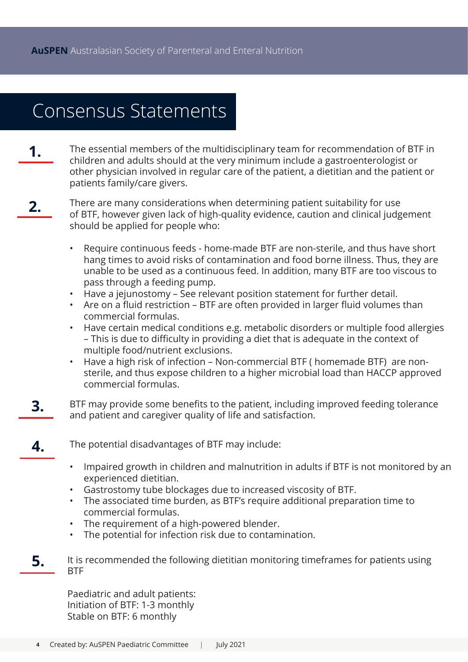## Consensus Statements

- **1.** The essential members of the multidisciplinary team for recommendation of BTF in children and adults should at the very minimum include a gastroenterologist or other physician involved in regular care of the patient, a dietitian and the patient or patients family/care givers.
- There are many considerations when determining patient suitability for use of BTF, however given lack of high-quality evidence, caution and clinical judgement should be applied for people who: **2.**
	- Require continuous feeds home-made BTF are non-sterile, and thus have short hang times to avoid risks of contamination and food borne illness. Thus, they are unable to be used as a continuous feed. In addition, many BTF are too viscous to pass through a feeding pump.
	- Have a jejunostomy See relevant position statement for further detail.
	- Are on a fluid restriction BTF are often provided in larger fluid volumes than commercial formulas.
	- Have certain medical conditions e.g. metabolic disorders or multiple food allergies – This is due to difficulty in providing a diet that is adequate in the context of multiple food/nutrient exclusions.
	- Have a high risk of infection Non-commercial BTF ( homemade BTF) are nonsterile, and thus expose children to a higher microbial load than HACCP approved commercial formulas.
- BTF may provide some benefits to the patient, including improved feeding tolerance and patient and caregiver quality of life and satisfaction. **3.**
	- The potential disadvantages of BTF may include: **4.**
		- Impaired growth in children and malnutrition in adults if BTF is not monitored by an experienced dietitian.
		- Gastrostomy tube blockages due to increased viscosity of BTF.
		- The associated time burden, as BTF's require additional preparation time to commercial formulas.
		- The requirement of a high-powered blender.
		- The potential for infection risk due to contamination.
- It is recommended the following dietitian monitoring timeframes for patients using BTF **5.**

Paediatric and adult patients: Initiation of BTF: 1-3 monthly Stable on BTF: 6 monthly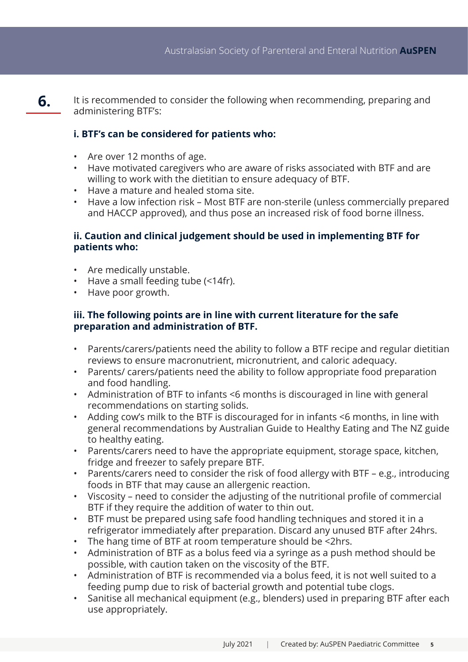It is recommended to consider the following when recommending, preparing and administering BTF's: **6.**

### **i. BTF's can be considered for patients who:**

- Are over 12 months of age.
- Have motivated caregivers who are aware of risks associated with BTF and are willing to work with the dietitian to ensure adequacy of BTF.
- Have a mature and healed stoma site.
- Have a low infection risk Most BTF are non-sterile (unless commercially prepared and HACCP approved), and thus pose an increased risk of food borne illness.

#### **ii. Caution and clinical judgement should be used in implementing BTF for patients who:**

- Are medically unstable.
- Have a small feeding tube (<14fr).
- Have poor growth.

### **iii. The following points are in line with current literature for the safe preparation and administration of BTF.**

- Parents/carers/patients need the ability to follow a BTF recipe and regular dietitian reviews to ensure macronutrient, micronutrient, and caloric adequacy.
- Parents/ carers/patients need the ability to follow appropriate food preparation and food handling.
- Administration of BTF to infants <6 months is discouraged in line with general recommendations on starting solids.
- Adding cow's milk to the BTF is discouraged for in infants <6 months, in line with general recommendations by Australian Guide to Healthy Eating and The NZ guide to healthy eating.
- Parents/carers need to have the appropriate equipment, storage space, kitchen, fridge and freezer to safely prepare BTF.
- Parents/carers need to consider the risk of food allergy with BTF e.g., introducing foods in BTF that may cause an allergenic reaction.
- Viscosity need to consider the adjusting of the nutritional profile of commercial BTF if they require the addition of water to thin out.
- BTF must be prepared using safe food handling techniques and stored it in a refrigerator immediately after preparation. Discard any unused BTF after 24hrs.
- The hang time of BTF at room temperature should be <2hrs.
- Administration of BTF as a bolus feed via a syringe as a push method should be possible, with caution taken on the viscosity of the BTF.
- Administration of BTF is recommended via a bolus feed, it is not well suited to a feeding pump due to risk of bacterial growth and potential tube clogs.
- Sanitise all mechanical equipment (e.g., blenders) used in preparing BTF after each use appropriately.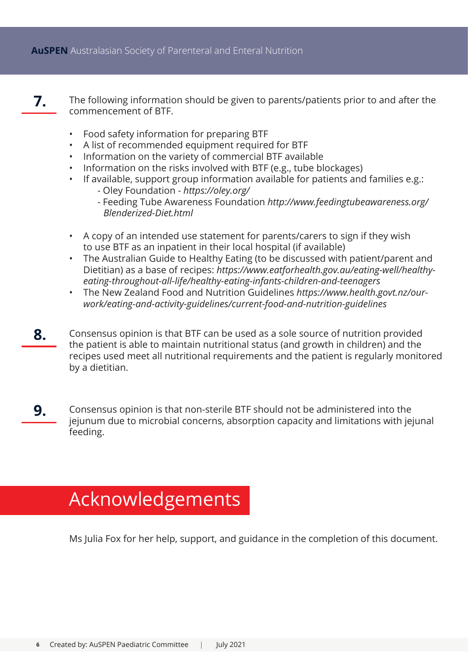- The following information should be given to parents/patients prior to and after the commencement of BTF. **7.**
	- Food safety information for preparing BTF
	- A list of recommended equipment required for BTF
	- Information on the variety of commercial BTF available
	- Information on the risks involved with BTF (e.g., tube blockages)
	- If available, support group information available for patients and families e.g.:
		- Oley Foundation *<https://oley.org/>*
		- Feeding Tube Awareness Foundation *[http://www.feedingtubeawareness.org/](http://www.feedingtubeawareness.org/Blenderized-Diet.html)  [Blenderized-Diet.html](http://www.feedingtubeawareness.org/Blenderized-Diet.html)*
	- A copy of an intended use statement for parents/carers to sign if they wish to use BTF as an inpatient in their local hospital (if available)
	- The Australian Guide to Healthy Eating (to be discussed with patient/parent and Dietitian) as a base of recipes: *[https://www.eatforhealth.gov.au/eating-well/healthy](https://www.eatforhealth.gov.au/eating-well/healthy-eating-throughout-all-life/healthy-eating-infants-children-and-teenagers)[eating-throughout-all-life/healthy-eating-infants-children-and-teenagers](https://www.eatforhealth.gov.au/eating-well/healthy-eating-throughout-all-life/healthy-eating-infants-children-and-teenagers)*
	- The New Zealand Food and Nutrition Guidelines *[https://www.health.govt.nz/our](https://www.health.govt.nz/our-work/eating-and-activity-guidelines/current-food-and-nutrition-guidelines)[work/eating-and-activity-guidelines/current-food-and-nutrition-guidelines](https://www.health.govt.nz/our-work/eating-and-activity-guidelines/current-food-and-nutrition-guidelines)*
- Consensus opinion is that BTF can be used as a sole source of nutrition provided the patient is able to maintain nutritional status (and growth in children) and the recipes used meet all nutritional requirements and the patient is regularly monitored by a dietitian. **8.**
- Consensus opinion is that non-sterile BTF should not be administered into the jejunum due to microbial concerns, absorption capacity and limitations with jejunal feeding. **9.**

# **Acknowledgements**

Ms Julia Fox for her help, support, and guidance in the completion of this document.